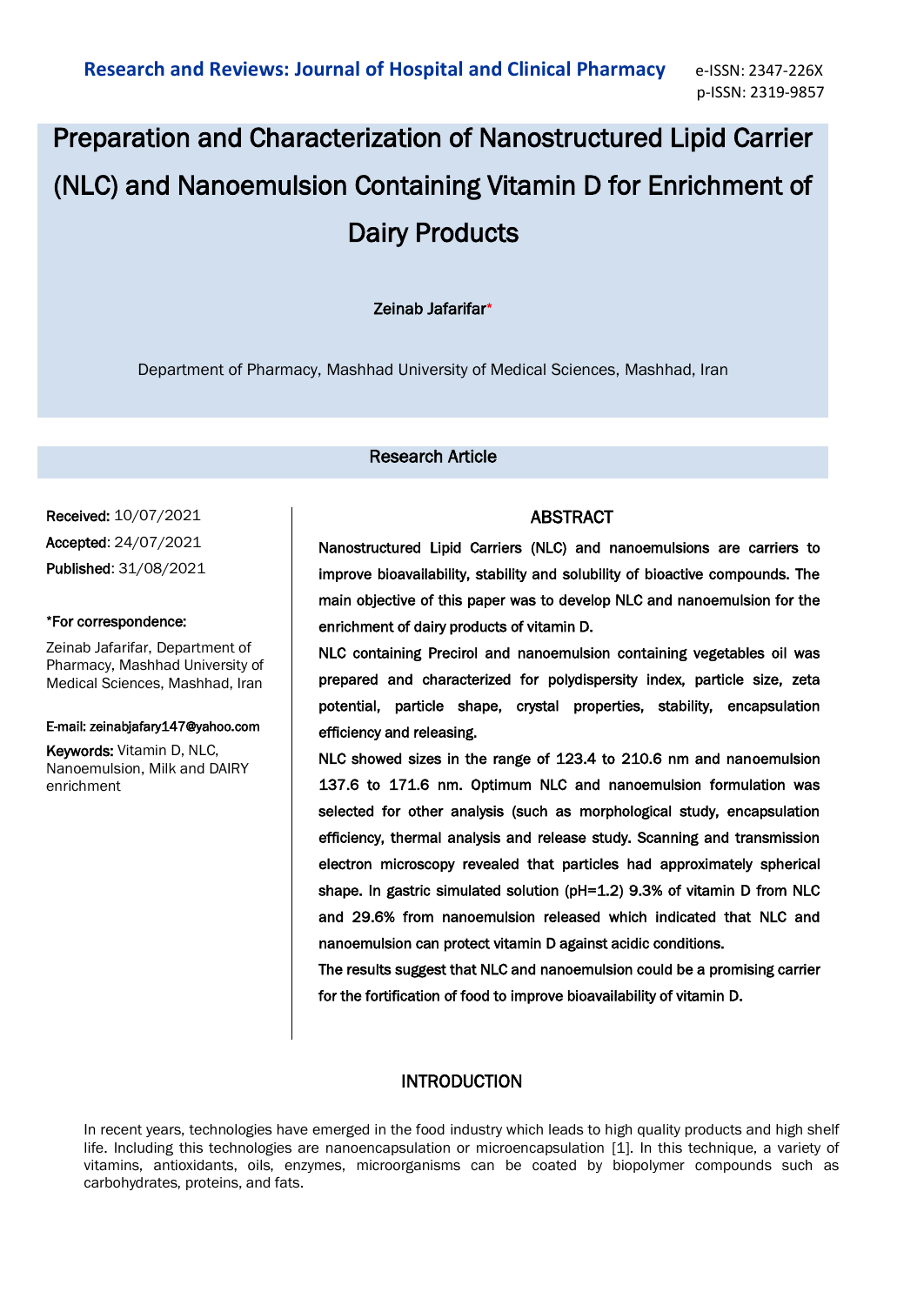# Preparation and Characterization of Nanostructured Lipid Carrier (NLC) and Nanoemulsion Containing Vitamin D for Enrichment of Dairy Products

# Zeinab Jafarifar\*

Department of Pharmacy, Mashhad University of Medical Sciences, Mashhad, Iran

# Research Article

Received: 10/07/2021 Accepted: 24/07/2021 Published: 31/08/2021

#### \*For correspondence:

Zeinab Jafarifar, Department of Pharmacy, Mashhad University of Medical Sciences, Mashhad, Iran

#### E-mail: zeinabjafary147@yahoo.com

Keywords: Vitamin D, NLC, Nanoemulsion, Milk and DAIRY enrichment

# ABSTRACT

Nanostructured Lipid Carriers (NLC) and nanoemulsions are carriers to improve bioavailability, stability and solubility of bioactive compounds. The main objective of this paper was to develop NLC and nanoemulsion for the enrichment of dairy products of vitamin D.

NLC containing Precirol and nanoemulsion containing vegetables oil was prepared and characterized for polydispersity index, particle size, zeta potential, particle shape, crystal properties, stability, encapsulation efficiency and releasing.

NLC showed sizes in the range of 123.4 to 210.6 nm and nanoemulsion 137.6 to 171.6 nm. Optimum NLC and nanoemulsion formulation was selected for other analysis (such as morphological study, encapsulation efficiency, thermal analysis and release study. Scanning and transmission electron microscopy revealed that particles had approximately spherical shape. In gastric simulated solution (pH=1.2) 9.3% of vitamin D from NLC and 29.6% from nanoemulsion released which indicated that NLC and nanoemulsion can protect vitamin D against acidic conditions.

The results suggest that NLC and nanoemulsion could be a promising carrier for the fortification of food to improve bioavailability of vitamin D.

# INTRODUCTION

In recent years, technologies have emerged in the food industry which leads to high quality products and high shelf life. Including this technologies are nanoencapsulation or microencapsulation [1]. In this technique, a variety of vitamins, antioxidants, oils, enzymes, microorganisms can be coated by biopolymer compounds such as carbohydrates, proteins, and fats.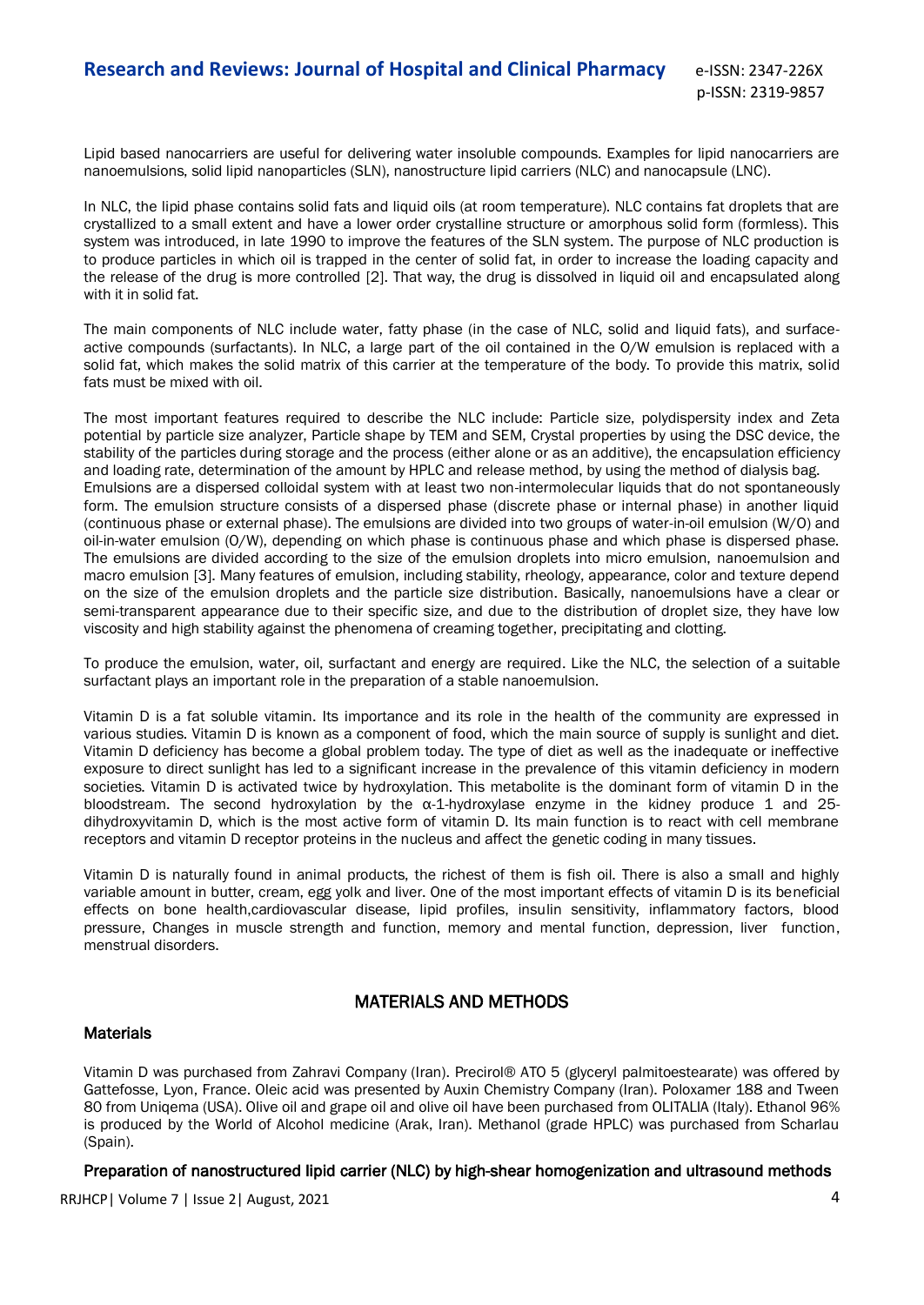Lipid based nanocarriers are useful for delivering water insoluble compounds. Examples for lipid nanocarriers are nanoemulsions, solid lipid nanoparticles (SLN), nanostructure lipid carriers (NLC) and nanocapsule (LNC).

In NLC, the lipid phase contains solid fats and liquid oils (at room temperature). NLC contains fat droplets that are crystallized to a small extent and have a lower order crystalline structure or amorphous solid form (formless). This system was introduced, in late 1990 to improve the features of the SLN system. The purpose of NLC production is to produce particles in which oil is trapped in the center of solid fat, in order to increase the loading capacity and the release of the drug is more controlled [2]. That way, the drug is dissolved in liquid oil and encapsulated along with it in solid fat.

The main components of NLC include water, fatty phase (in the case of NLC, solid and liquid fats), and surfaceactive compounds (surfactants). In NLC, a large part of the oil contained in the O/W emulsion is replaced with a solid fat, which makes the solid matrix of this carrier at the temperature of the body. To provide this matrix, solid fats must be mixed with oil.

The most important features required to describe the NLC include: Particle size, polydispersity index and Zeta potential by particle size analyzer, Particle shape by TEM and SEM, Crystal properties by using the DSC device, the stability of the particles during storage and the process (either alone or as an additive), the encapsulation efficiency and loading rate, determination of the amount by HPLC and release method, by using the method of dialysis bag. Emulsions are a dispersed colloidal system with at least two non-intermolecular liquids that do not spontaneously form. The emulsion structure consists of a dispersed phase (discrete phase or internal phase) in another liquid (continuous phase or external phase). The emulsions are divided into two groups of water-in-oil emulsion (W/O) and oil-in-water emulsion (O/W), depending on which phase is continuous phase and which phase is dispersed phase. The emulsions are divided according to the size of the emulsion droplets into micro emulsion, nanoemulsion and macro emulsion [3]. Many features of emulsion, including stability, rheology, appearance, color and texture depend on the size of the emulsion droplets and the particle size distribution. Basically, nanoemulsions have a clear or semi-transparent appearance due to their specific size, and due to the distribution of droplet size, they have low viscosity and high stability against the phenomena of creaming together, precipitating and clotting.

To produce the emulsion, water, oil, surfactant and energy are required. Like the NLC, the selection of a suitable surfactant plays an important role in the preparation of a stable nanoemulsion.

Vitamin D is a fat soluble vitamin. Its importance and its role in the health of the community are expressed in various studies. Vitamin D is known as a component of food, which the main source of supply is sunlight and diet. Vitamin D deficiency has become a global problem today. The type of diet as well as the inadequate or ineffective exposure to direct sunlight has led to a significant increase in the prevalence of this vitamin deficiency in modern societies. Vitamin D is activated twice by hydroxylation. This metabolite is the dominant form of vitamin D in the bloodstream. The second hydroxylation by the α-1-hydroxylase enzyme in the kidney produce 1 and 25 dihydroxyvitamin D, which is the most active form of vitamin D. Its main function is to react with cell membrane receptors and vitamin D receptor proteins in the nucleus and affect the genetic coding in many tissues.

Vitamin D is naturally found in animal products, the richest of them is fish oil. There is also a small and highly variable amount in butter, cream, egg yolk and liver. One of the most important effects of vitamin D is its beneficial effects on bone health,cardiovascular disease, lipid profiles, insulin sensitivity, inflammatory factors, blood pressure, Changes in muscle strength and function, memory and mental function, depression, liver function, menstrual disorders.

# MATERIALS AND METHODS

# **Materials**

Vitamin D was purchased from Zahravi Company (Iran). Precirol® ATO 5 (glyceryl palmitoestearate) was offered by Gattefosse, Lyon, France. Oleic acid was presented by Auxin Chemistry Company (Iran). Poloxamer 188 and Tween 80 from Uniqema (USA). Olive oil and grape oil and olive oil have been purchased from OLITALIA (Italy). Ethanol 96% is produced by the World of Alcohol medicine (Arak, Iran). Methanol (grade HPLC) was purchased from Scharlau (Spain).

# Preparation of nanostructured lipid carrier (NLC) by high-shear homogenization and ultrasound methods

RRJHCP | Volume 7 | Issue 2 | August, 2021 4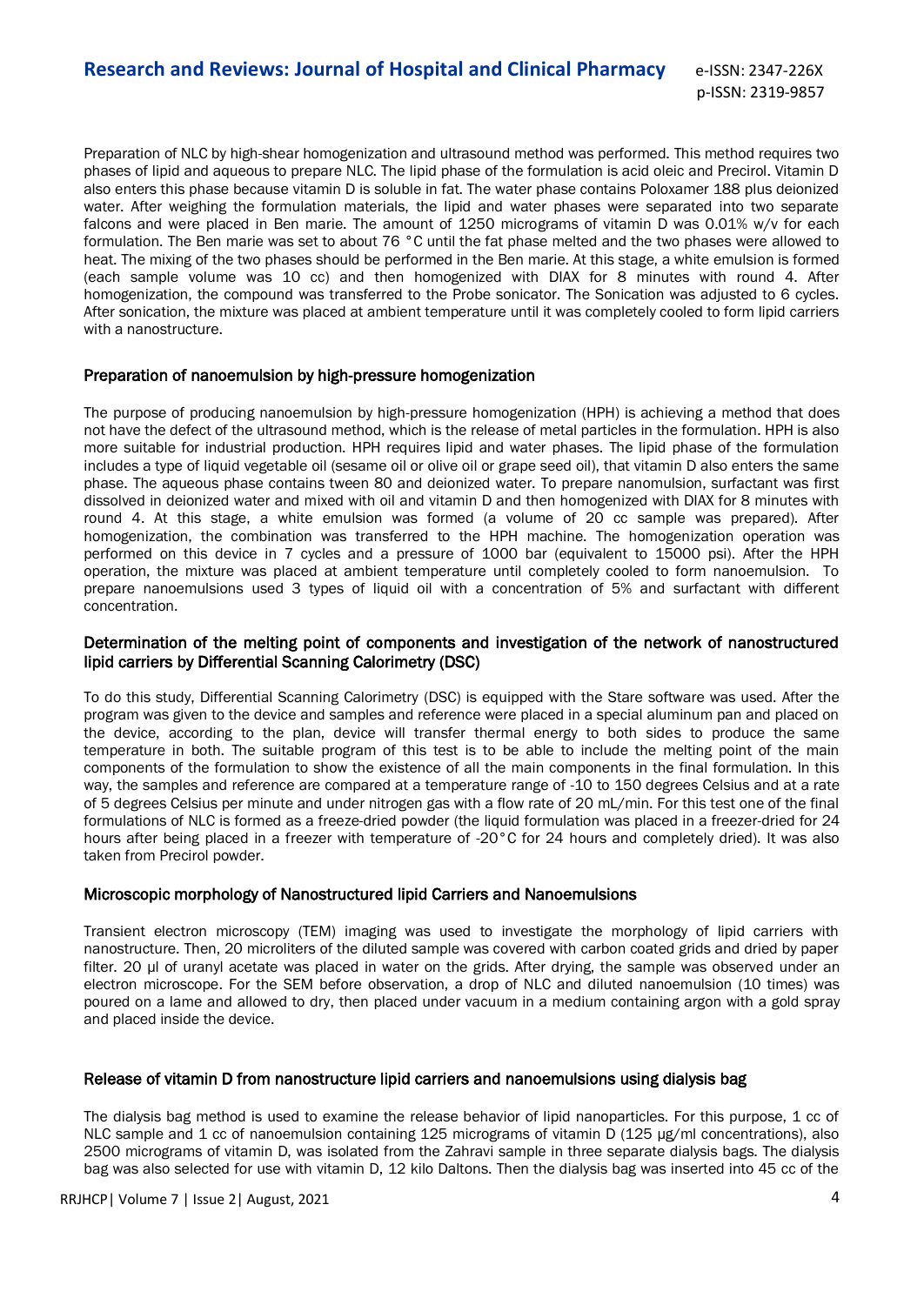Preparation of NLC by high-shear homogenization and ultrasound method was performed. This method requires two phases of lipid and aqueous to prepare NLC. The lipid phase of the formulation is acid oleic and Precirol. Vitamin D also enters this phase because vitamin D is soluble in fat. The water phase contains Poloxamer 188 plus deionized water. After weighing the formulation materials, the lipid and water phases were separated into two separate falcons and were placed in Ben marie. The amount of 1250 micrograms of vitamin D was 0.01% w/v for each formulation. The Ben marie was set to about 76 °C until the fat phase melted and the two phases were allowed to heat. The mixing of the two phases should be performed in the Ben marie. At this stage, a white emulsion is formed (each sample volume was 10 cc) and then homogenized with DIAX for 8 minutes with round 4. After homogenization, the compound was transferred to the Probe sonicator. The Sonication was adjusted to 6 cycles. After sonication, the mixture was placed at ambient temperature until it was completely cooled to form lipid carriers with a nanostructure.

## Preparation of nanoemulsion by high-pressure homogenization

The purpose of producing nanoemulsion by high-pressure homogenization (HPH) is achieving a method that does not have the defect of the ultrasound method, which is the release of metal particles in the formulation. HPH is also more suitable for industrial production. HPH requires lipid and water phases. The lipid phase of the formulation includes a type of liquid vegetable oil (sesame oil or olive oil or grape seed oil), that vitamin D also enters the same phase. The aqueous phase contains tween 80 and deionized water. To prepare nanomulsion, surfactant was first dissolved in deionized water and mixed with oil and vitamin D and then homogenized with DIAX for 8 minutes with round 4. At this stage, a white emulsion was formed (a volume of 20 cc sample was prepared). After homogenization, the combination was transferred to the HPH machine. The homogenization operation was performed on this device in 7 cycles and a pressure of 1000 bar (equivalent to 15000 psi). After the HPH operation, the mixture was placed at ambient temperature until completely cooled to form nanoemulsion. To prepare nanoemulsions used 3 types of liquid oil with a concentration of 5% and surfactant with different concentration.

# Determination of the melting point of components and investigation of the network of nanostructured lipid carriers by Differential Scanning Calorimetry (DSC)

To do this study, Differential Scanning Calorimetry (DSC) is equipped with the Stare software was used. After the program was given to the device and samples and reference were placed in a special aluminum pan and placed on the device, according to the plan, device will transfer thermal energy to both sides to produce the same temperature in both. The suitable program of this test is to be able to include the melting point of the main components of the formulation to show the existence of all the main components in the final formulation. In this way, the samples and reference are compared at a temperature range of -10 to 150 degrees Celsius and at a rate of 5 degrees Celsius per minute and under nitrogen gas with a flow rate of 20 mL/min. For this test one of the final formulations of NLC is formed as a freeze-dried powder (the liquid formulation was placed in a freezer-dried for 24 hours after being placed in a freezer with temperature of -20°C for 24 hours and completely dried). It was also taken from Precirol powder.

# Microscopic morphology of Nanostructured lipid Carriers and Nanoemulsions

Transient electron microscopy (TEM) imaging was used to investigate the morphology of lipid carriers with nanostructure. Then, 20 microliters of the diluted sample was covered with carbon coated grids and dried by paper filter. 20 μl of uranyl acetate was placed in water on the grids. After drying, the sample was observed under an electron microscope. For the SEM before observation, a drop of NLC and diluted nanoemulsion (10 times) was poured on a lame and allowed to dry, then placed under vacuum in a medium containing argon with a gold spray and placed inside the device.

#### Release of vitamin D from nanostructure lipid carriers and nanoemulsions using dialysis bag

The dialysis bag method is used to examine the release behavior of lipid nanoparticles. For this purpose, 1 cc of NLC sample and 1 cc of nanoemulsion containing 125 micrograms of vitamin D (125 μg/ml concentrations), also 2500 micrograms of vitamin D, was isolated from the Zahravi sample in three separate dialysis bags. The dialysis bag was also selected for use with vitamin D, 12 kilo Daltons. Then the dialysis bag was inserted into 45 cc of the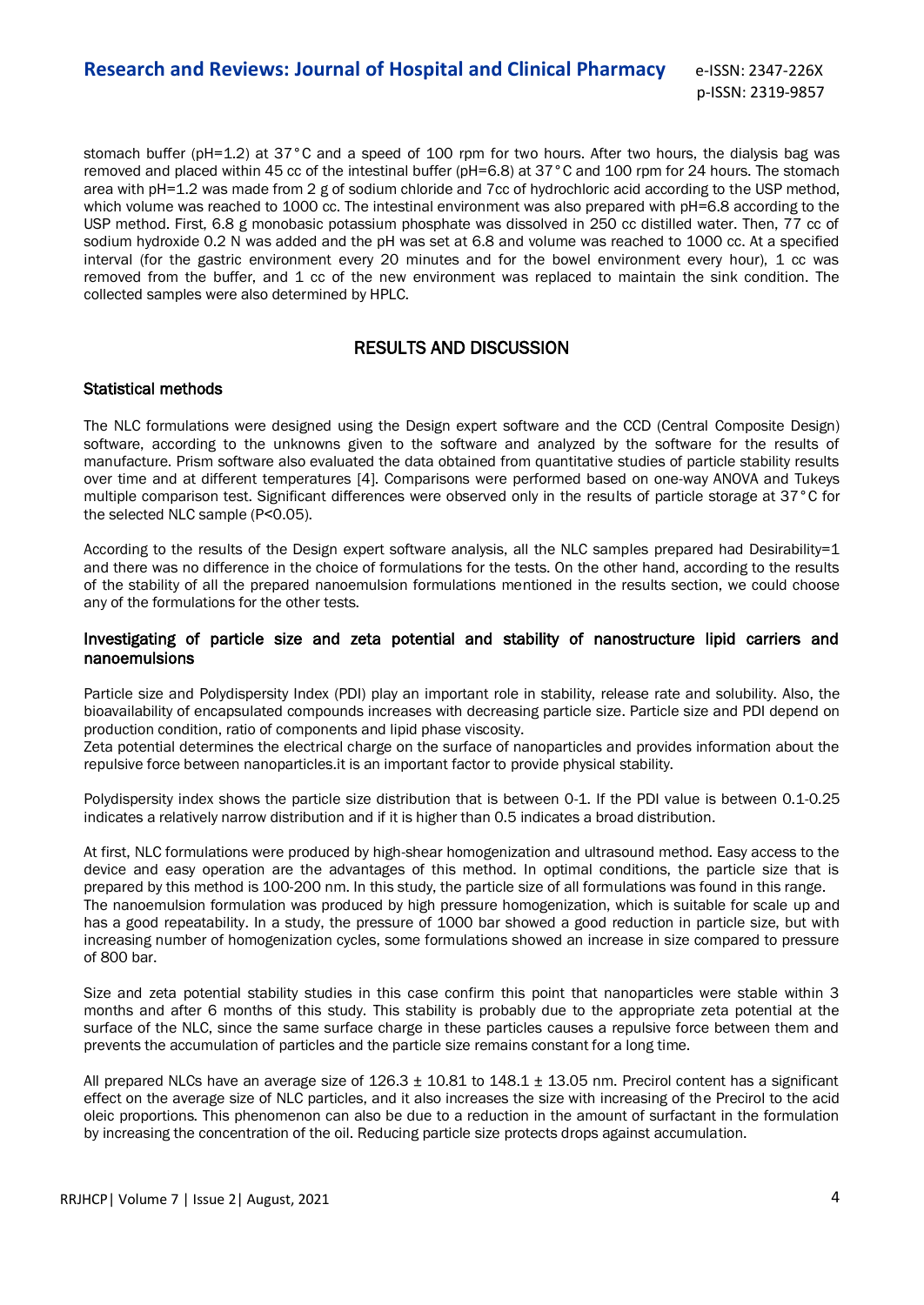stomach buffer (pH=1.2) at 37°C and a speed of 100 rpm for two hours. After two hours, the dialysis bag was removed and placed within 45 cc of the intestinal buffer (pH=6.8) at 37°C and 100 rpm for 24 hours. The stomach area with pH=1.2 was made from 2 g of sodium chloride and 7cc of hydrochloric acid according to the USP method, which volume was reached to 1000 cc. The intestinal environment was also prepared with pH=6.8 according to the USP method. First, 6.8 g monobasic potassium phosphate was dissolved in 250 cc distilled water. Then, 77 cc of sodium hydroxide 0.2 N was added and the pH was set at 6.8 and volume was reached to 1000 cc. At a specified interval (for the gastric environment every 20 minutes and for the bowel environment every hour), 1 cc was removed from the buffer, and 1 cc of the new environment was replaced to maintain the sink condition. The collected samples were also determined by HPLC.

# RESULTS AND DISCUSSION

## Statistical methods

The NLC formulations were designed using the Design expert software and the CCD (Central Composite Design) software, according to the unknowns given to the software and analyzed by the software for the results of manufacture. Prism software also evaluated the data obtained from quantitative studies of particle stability results over time and at different temperatures [4]. Comparisons were performed based on one-way ANOVA and Tukeys multiple comparison test. Significant differences were observed only in the results of particle storage at 37°C for the selected NLC sample (P˂0.05).

According to the results of the Design expert software analysis, all the NLC samples prepared had Desirability=1 and there was no difference in the choice of formulations for the tests. On the other hand, according to the results of the stability of all the prepared nanoemulsion formulations mentioned in the results section, we could choose any of the formulations for the other tests.

## Investigating of particle size and zeta potential and stability of nanostructure lipid carriers and nanoemulsions

Particle size and Polydispersity Index (PDI) play an important role in stability, release rate and solubility. Also, the bioavailability of encapsulated compounds increases with decreasing particle size. Particle size and PDI depend on production condition, ratio of components and lipid phase viscosity.

Zeta potential determines the electrical charge on the surface of nanoparticles and provides information about the repulsive force between nanoparticles.it is an important factor to provide physical stability.

Polydispersity index shows the particle size distribution that is between 0-1. If the PDI value is between 0.1-0.25 indicates a relatively narrow distribution and if it is higher than 0.5 indicates a broad distribution.

At first, NLC formulations were produced by high-shear homogenization and ultrasound method. Easy access to the device and easy operation are the advantages of this method. In optimal conditions, the particle size that is prepared by this method is 100-200 nm. In this study, the particle size of all formulations was found in this range. The nanoemulsion formulation was produced by high pressure homogenization, which is suitable for scale up and has a good repeatability. In a study, the pressure of 1000 bar showed a good reduction in particle size, but with increasing number of homogenization cycles, some formulations showed an increase in size compared to pressure of 800 bar.

Size and zeta potential stability studies in this case confirm this point that nanoparticles were stable within 3 months and after 6 months of this study. This stability is probably due to the appropriate zeta potential at the surface of the NLC, since the same surface charge in these particles causes a repulsive force between them and prevents the accumulation of particles and the particle size remains constant for a long time.

All prepared NLCs have an average size of  $126.3 \pm 10.81$  to  $148.1 \pm 13.05$  nm. Precirol content has a significant effect on the average size of NLC particles, and it also increases the size with increasing of the Precirol to the acid oleic proportions. This phenomenon can also be due to a reduction in the amount of surfactant in the formulation by increasing the concentration of the oil. Reducing particle size protects drops against accumulation.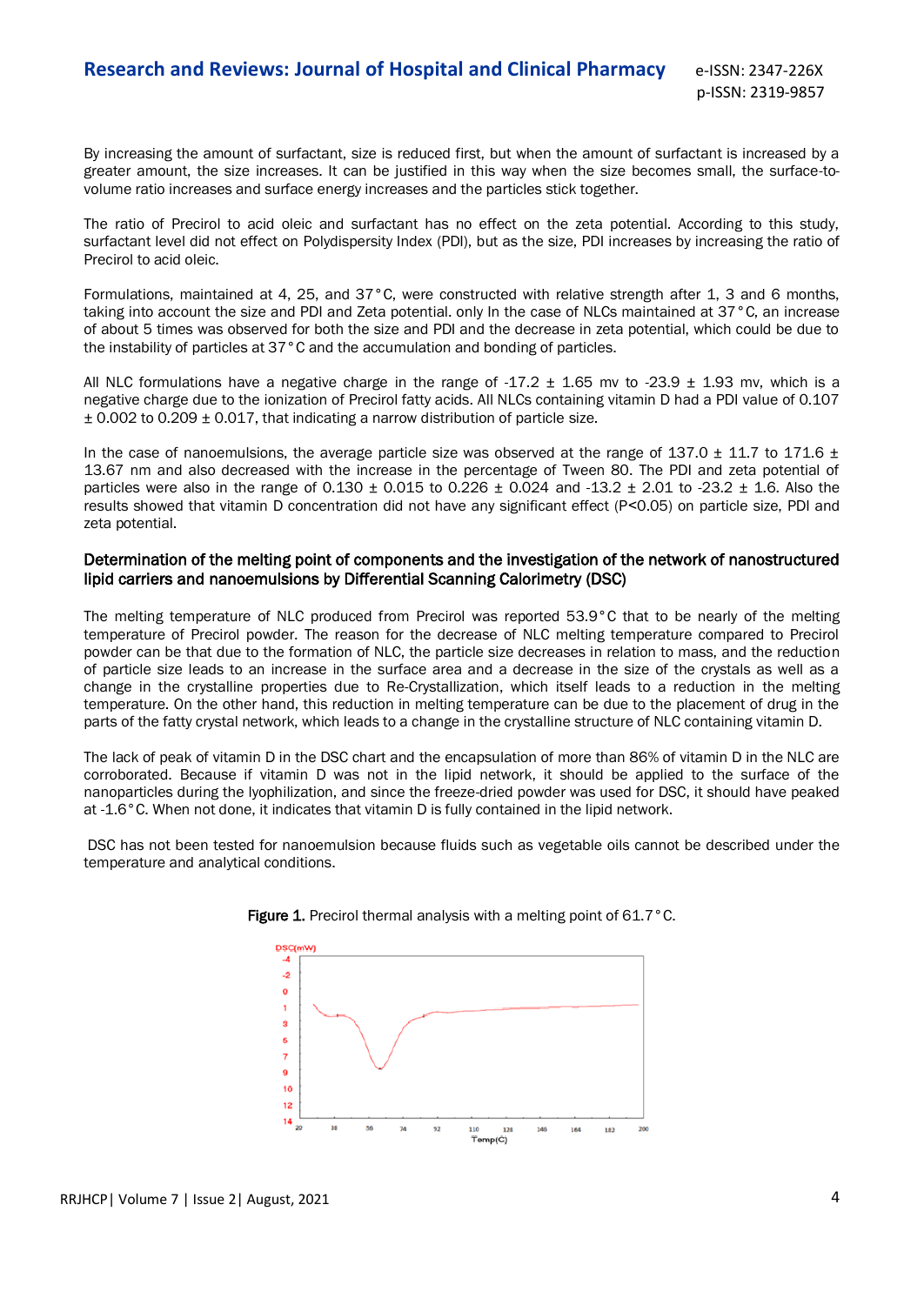By increasing the amount of surfactant, size is reduced first, but when the amount of surfactant is increased by a greater amount, the size increases. It can be justified in this way when the size becomes small, the surface-tovolume ratio increases and surface energy increases and the particles stick together.

The ratio of Precirol to acid oleic and surfactant has no effect on the zeta potential. According to this study, surfactant level did not effect on Polydispersity Index (PDI), but as the size, PDI increases by increasing the ratio of Precirol to acid oleic.

Formulations, maintained at 4, 25, and 37°C, were constructed with relative strength after 1, 3 and 6 months, taking into account the size and PDI and Zeta potential. only In the case of NLCs maintained at 37 °C, an increase of about 5 times was observed for both the size and PDI and the decrease in zeta potential, which could be due to the instability of particles at 37°C and the accumulation and bonding of particles.

All NLC formulations have a negative charge in the range of -17.2  $\pm$  1.65 mv to -23.9  $\pm$  1.93 mv, which is a negative charge due to the ionization of Precirol fatty acids. All NLCs containing vitamin D had a PDI value of 0.107  $\pm$  0.002 to 0.209  $\pm$  0.017, that indicating a narrow distribution of particle size.

In the case of nanoemulsions, the average particle size was observed at the range of  $137.0 \pm 11.7$  to  $171.6 \pm 11.7$ 13.67 nm and also decreased with the increase in the percentage of Tween 80. The PDI and zeta potential of particles were also in the range of  $0.130 \pm 0.015$  to  $0.226 \pm 0.024$  and  $-13.2 \pm 2.01$  to  $-23.2 \pm 1.6$ . Also the results showed that vitamin D concentration did not have any significant effect (P˂0.05) on particle size, PDI and zeta potential.

# Determination of the melting point of components and the investigation of the network of nanostructured lipid carriers and nanoemulsions by Differential Scanning Calorimetry (DSC)

The melting temperature of NLC produced from Precirol was reported 53.9°C that to be nearly of the melting temperature of Precirol powder. The reason for the decrease of NLC melting temperature compared to Precirol powder can be that due to the formation of NLC, the particle size decreases in relation to mass, and the reduction of particle size leads to an increase in the surface area and a decrease in the size of the crystals as well as a change in the crystalline properties due to Re-Crystallization, which itself leads to a reduction in the melting temperature. On the other hand, this reduction in melting temperature can be due to the placement of drug in the parts of the fatty crystal network, which leads to a change in the crystalline structure of NLC containing vitamin D.

The lack of peak of vitamin D in the DSC chart and the encapsulation of more than 86% of vitamin D in the NLC are corroborated. Because if vitamin D was not in the lipid network, it should be applied to the surface of the nanoparticles during the lyophilization, and since the freeze-dried powder was used for DSC, it should have peaked at -1.6°C. When not done, it indicates that vitamin D is fully contained in the lipid network.

DSC has not been tested for nanoemulsion because fluids such as vegetable oils cannot be described under the temperature and analytical conditions.



# Figure 1. Precirol thermal analysis with a melting point of 61.7°C.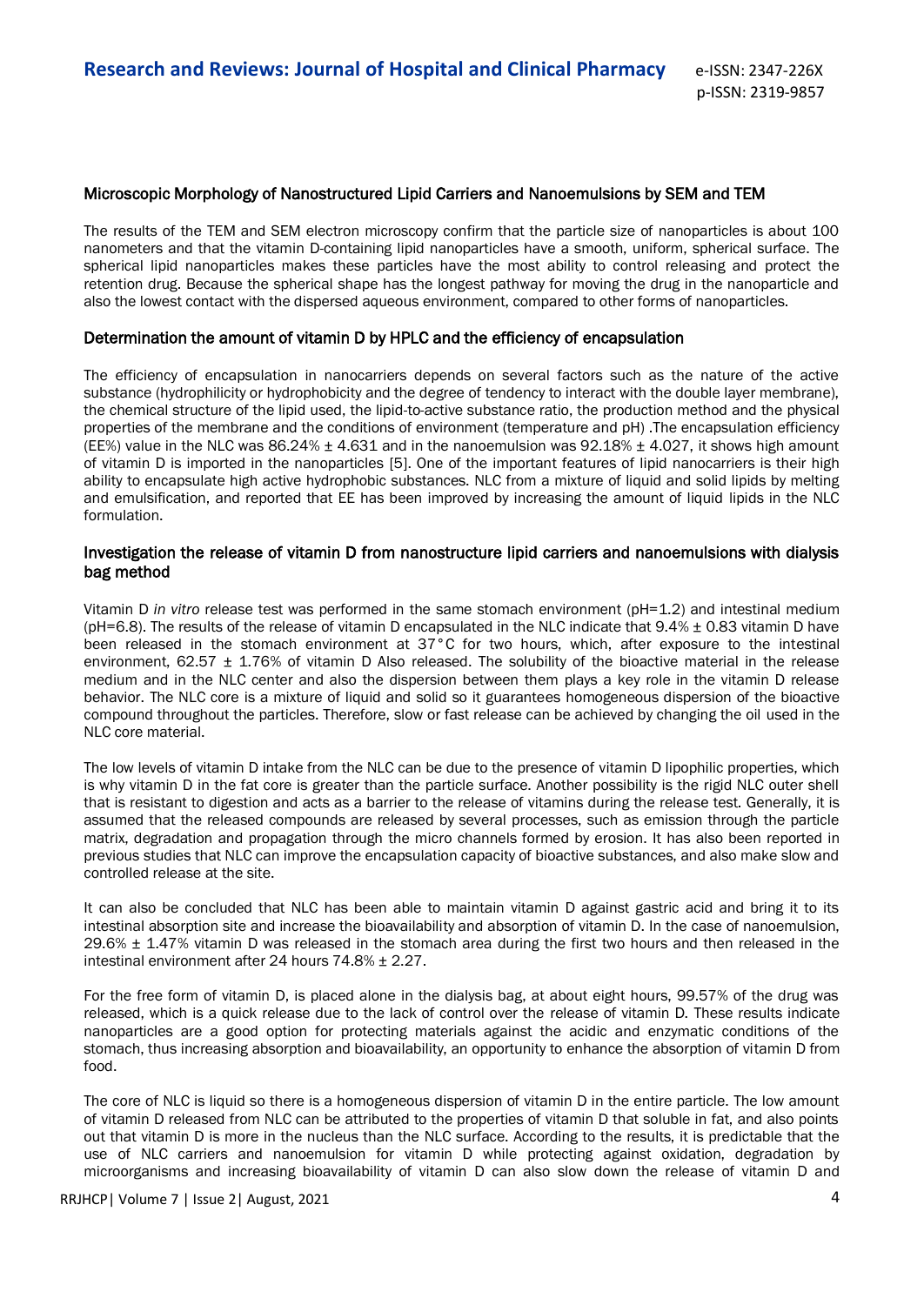#### Microscopic Morphology of Nanostructured Lipid Carriers and Nanoemulsions by SEM and TEM

The results of the TEM and SEM electron microscopy confirm that the particle size of nanoparticles is about 100 nanometers and that the vitamin D-containing lipid nanoparticles have a smooth, uniform, spherical surface. The spherical lipid nanoparticles makes these particles have the most ability to control releasing and protect the retention drug. Because the spherical shape has the longest pathway for moving the drug in the nanoparticle and also the lowest contact with the dispersed aqueous environment, compared to other forms of nanoparticles.

## Determination the amount of vitamin D by HPLC and the efficiency of encapsulation

The efficiency of encapsulation in nanocarriers depends on several factors such as the nature of the active substance (hydrophilicity or hydrophobicity and the degree of tendency to interact with the double layer membrane), the chemical structure of the lipid used, the lipid-to-active substance ratio, the production method and the physical properties of the membrane and the conditions of environment (temperature and pH) .The encapsulation efficiency (EE%) value in the NLC was  $86.24\% \pm 4.631$  and in the nanoemulsion was  $92.18\% \pm 4.027$ , it shows high amount of vitamin D is imported in the nanoparticles [5]. One of the important features of lipid nanocarriers is their high ability to encapsulate high active hydrophobic substances. NLC from a mixture of liquid and solid lipids by melting and emulsification, and reported that EE has been improved by increasing the amount of liquid lipids in the NLC formulation.

#### Investigation the release of vitamin D from nanostructure lipid carriers and nanoemulsions with dialysis bag method

Vitamin D *in vitro* release test was performed in the same stomach environment (pH=1.2) and intestinal medium ( $pH=6.8$ ). The results of the release of vitamin D encapsulated in the NLC indicate that  $9.4% \pm 0.83$  vitamin D have been released in the stomach environment at 37°C for two hours, which, after exposure to the intestinal environment, 62.57  $\pm$  1.76% of vitamin D Also released. The solubility of the bioactive material in the release medium and in the NLC center and also the dispersion between them plays a key role in the vitamin D release behavior. The NLC core is a mixture of liquid and solid so it guarantees homogeneous dispersion of the bioactive compound throughout the particles. Therefore, slow or fast release can be achieved by changing the oil used in the NLC core material.

The low levels of vitamin D intake from the NLC can be due to the presence of vitamin D lipophilic properties, which is why vitamin D in the fat core is greater than the particle surface. Another possibility is the rigid NLC outer shell that is resistant to digestion and acts as a barrier to the release of vitamins during the release test. Generally, it is assumed that the released compounds are released by several processes, such as emission through the particle matrix, degradation and propagation through the micro channels formed by erosion. It has also been reported in previous studies that NLC can improve the encapsulation capacity of bioactive substances, and also make slow and controlled release at the site.

It can also be concluded that NLC has been able to maintain vitamin D against gastric acid and bring it to its intestinal absorption site and increase the bioavailability and absorption of vitamin D. In the case of nanoemulsion, 29.6% ± 1.47% vitamin D was released in the stomach area during the first two hours and then released in the intestinal environment after 24 hours 74.8% ± 2.27.

For the free form of vitamin D, is placed alone in the dialysis bag, at about eight hours, 99.57% of the drug was released, which is a quick release due to the lack of control over the release of vitamin D. These results indicate nanoparticles are a good option for protecting materials against the acidic and enzymatic conditions of the stomach, thus increasing absorption and bioavailability, an opportunity to enhance the absorption of vitamin D from food.

The core of NLC is liquid so there is a homogeneous dispersion of vitamin D in the entire particle. The low amount of vitamin D released from NLC can be attributed to the properties of vitamin D that soluble in fat, and also points out that vitamin D is more in the nucleus than the NLC surface. According to the results, it is predictable that the use of NLC carriers and nanoemulsion for vitamin D while protecting against oxidation, degradation by microorganisms and increasing bioavailability of vitamin D can also slow down the release of vitamin D and